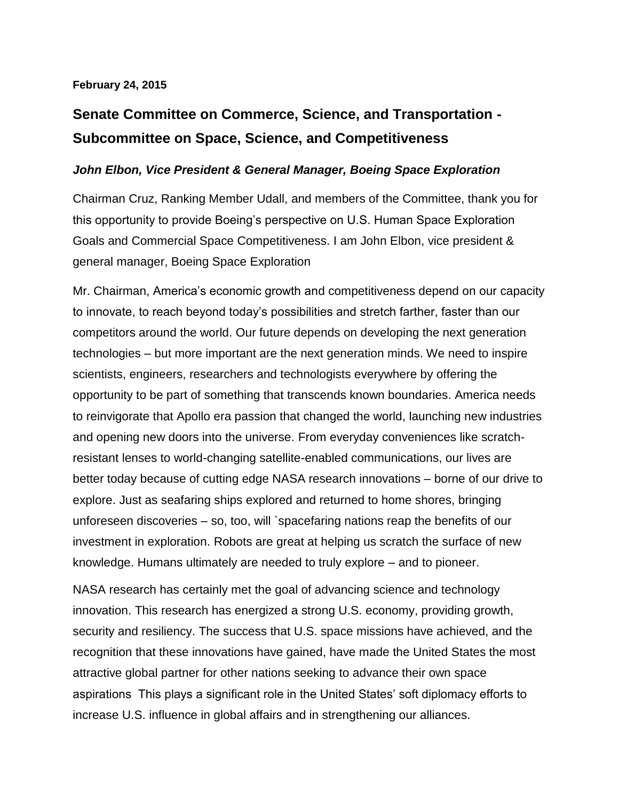## **February 24, 2015**

## **Senate Committee on Commerce, Science, and Transportation - Subcommittee on Space, Science, and Competitiveness**

## *John Elbon, Vice President & General Manager, Boeing Space Exploration*

Chairman Cruz, Ranking Member Udall, and members of the Committee, thank you for this opportunity to provide Boeing's perspective on U.S. Human Space Exploration Goals and Commercial Space Competitiveness. I am John Elbon, vice president & general manager, Boeing Space Exploration

Mr. Chairman, America's economic growth and competitiveness depend on our capacity to innovate, to reach beyond today's possibilities and stretch farther, faster than our competitors around the world. Our future depends on developing the next generation technologies – but more important are the next generation minds. We need to inspire scientists, engineers, researchers and technologists everywhere by offering the opportunity to be part of something that transcends known boundaries. America needs to reinvigorate that Apollo era passion that changed the world, launching new industries and opening new doors into the universe. From everyday conveniences like scratchresistant lenses to world-changing satellite-enabled communications, our lives are better today because of cutting edge NASA research innovations – borne of our drive to explore. Just as seafaring ships explored and returned to home shores, bringing unforeseen discoveries – so, too, will `spacefaring nations reap the benefits of our investment in exploration. Robots are great at helping us scratch the surface of new knowledge. Humans ultimately are needed to truly explore – and to pioneer.

NASA research has certainly met the goal of advancing science and technology innovation. This research has energized a strong U.S. economy, providing growth, security and resiliency. The success that U.S. space missions have achieved, and the recognition that these innovations have gained, have made the United States the most attractive global partner for other nations seeking to advance their own space aspirations This plays a significant role in the United States' soft diplomacy efforts to increase U.S. influence in global affairs and in strengthening our alliances.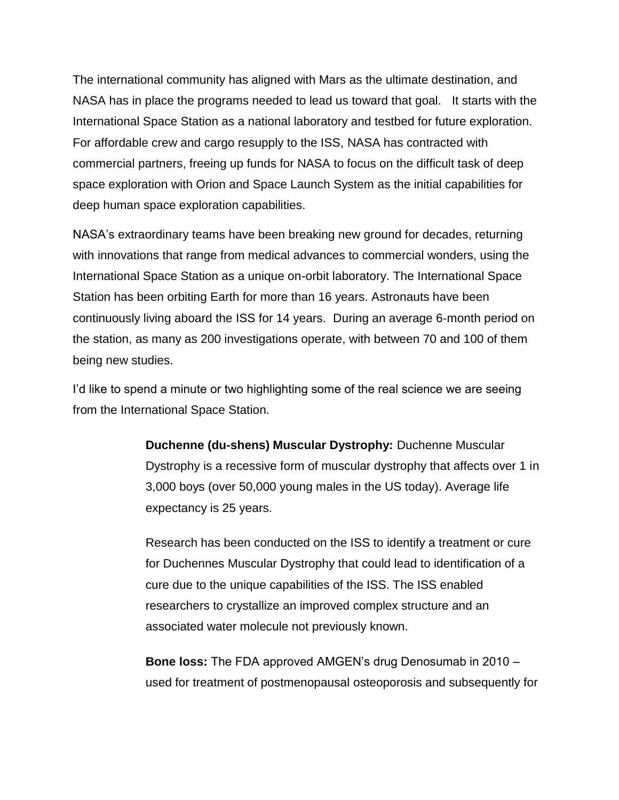The international community has aligned with Mars as the ultimate destination, and NASA has in place the programs needed to lead us toward that goal. It starts with the International Space Station as a national laboratory and testbed for future exploration. For affordable crew and cargo resupply to the ISS, NASA has contracted with commercial partners, freeing up funds for NASA to focus on the difficult task of deep space exploration with Orion and Space Launch System as the initial capabilities for deep human space exploration capabilities.

NASA's extraordinary teams have been breaking new ground for decades, returning with innovations that range from medical advances to commercial wonders, using the International Space Station as a unique on-orbit laboratory. The International Space Station has been orbiting Earth for more than 16 years. Astronauts have been continuously living aboard the ISS for 14 years. During an average 6‐month period on the station, as many as 200 investigations operate, with between 70 and 100 of them being new studies.

I'd like to spend a minute or two highlighting some of the real science we are seeing from the International Space Station.

> **Duchenne (du-shens) Muscular Dystrophy:** Duchenne Muscular Dystrophy is a recessive form of muscular dystrophy that affects over 1 in 3,000 boys (over 50,000 young males in the US today). Average life expectancy is 25 years.

Research has been conducted on the ISS to identify a treatment or cure for Duchennes Muscular Dystrophy that could lead to identification of a cure due to the unique capabilities of the ISS. The ISS enabled researchers to crystallize an improved complex structure and an associated water molecule not previously known.

**Bone loss:** The FDA approved AMGEN's drug Denosumab in 2010 – used for treatment of postmenopausal osteoporosis and subsequently for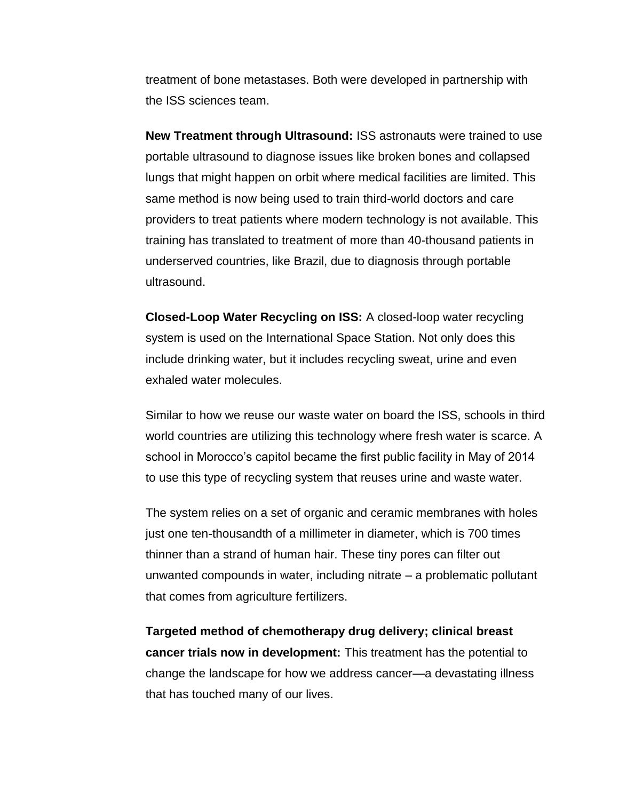treatment of bone metastases. Both were developed in partnership with the ISS sciences team.

**New Treatment through Ultrasound:** ISS astronauts were trained to use portable ultrasound to diagnose issues like broken bones and collapsed lungs that might happen on orbit where medical facilities are limited. This same method is now being used to train third-world doctors and care providers to treat patients where modern technology is not available. This training has translated to treatment of more than 40-thousand patients in underserved countries, like Brazil, due to diagnosis through portable ultrasound.

**Closed-Loop Water Recycling on ISS:** A closed-loop water recycling system is used on the International Space Station. Not only does this include drinking water, but it includes recycling sweat, urine and even exhaled water molecules.

Similar to how we reuse our waste water on board the ISS, schools in third world countries are utilizing this technology where fresh water is scarce. A school in Morocco's capitol became the first public facility in May of 2014 to use this type of recycling system that reuses urine and waste water.

The system relies on a set of organic and ceramic membranes with holes just one ten-thousandth of a millimeter in diameter, which is 700 times thinner than a strand of human hair. These tiny pores can filter out unwanted compounds in water, including nitrate – a problematic pollutant that comes from agriculture fertilizers.

**Targeted method of chemotherapy drug delivery; clinical breast cancer trials now in development:** This treatment has the potential to change the landscape for how we address cancer—a devastating illness that has touched many of our lives.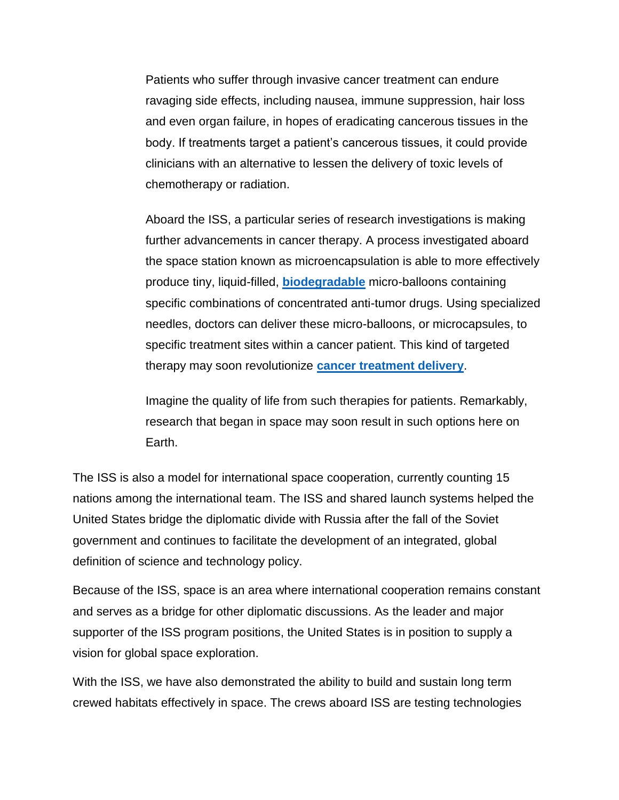Patients who suffer through invasive cancer treatment can endure ravaging side effects, including nausea, immune suppression, hair loss and even organ failure, in hopes of eradicating cancerous tissues in the body. If treatments target a patient's cancerous tissues, it could provide clinicians with an alternative to lessen the delivery of toxic levels of chemotherapy or radiation.

Aboard the ISS, a particular series of research investigations is making further advancements in cancer therapy. A process investigated aboard the space station known as microencapsulation is able to more effectively produce tiny, liquid-filled, **[biodegradable](http://www.merriam-webster.com/dictionary/biodegradable)** micro-balloons containing specific combinations of concentrated anti-tumor drugs. Using specialized needles, doctors can deliver these micro-balloons, or microcapsules, to specific treatment sites within a cancer patient. This kind of targeted therapy may soon revolutionize **[cancer treatment delivery](http://www.nasa.gov/mission_pages/station/research/benefits/cancer_treatment.html#.UmA4nPnkuSq)**.

Imagine the quality of life from such therapies for patients. Remarkably, research that began in space may soon result in such options here on Earth.

The ISS is also a model for international space cooperation, currently counting 15 nations among the international team. The ISS and shared launch systems helped the United States bridge the diplomatic divide with Russia after the fall of the Soviet government and continues to facilitate the development of an integrated, global definition of science and technology policy.

Because of the ISS, space is an area where international cooperation remains constant and serves as a bridge for other diplomatic discussions. As the leader and major supporter of the ISS program positions, the United States is in position to supply a vision for global space exploration.

With the ISS, we have also demonstrated the ability to build and sustain long term crewed habitats effectively in space. The crews aboard ISS are testing technologies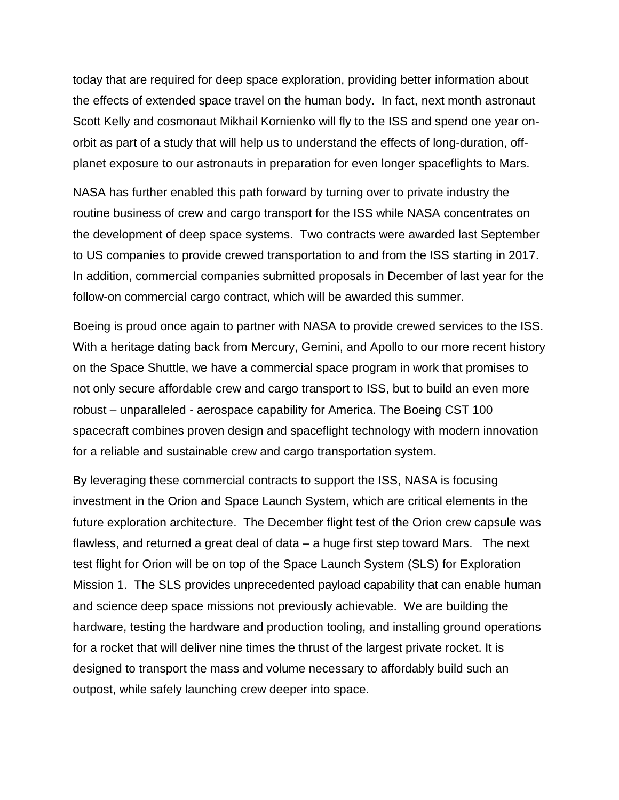today that are required for deep space exploration, providing better information about the effects of extended space travel on the human body. In fact, next month astronaut Scott Kelly and cosmonaut Mikhail Kornienko will fly to the ISS and spend one year onorbit as part of a study that will help us to understand the effects of long-duration, offplanet exposure to our astronauts in preparation for even longer spaceflights to Mars.

NASA has further enabled this path forward by turning over to private industry the routine business of crew and cargo transport for the ISS while NASA concentrates on the development of deep space systems. Two contracts were awarded last September to US companies to provide crewed transportation to and from the ISS starting in 2017. In addition, commercial companies submitted proposals in December of last year for the follow-on commercial cargo contract, which will be awarded this summer.

Boeing is proud once again to partner with NASA to provide crewed services to the ISS. With a heritage dating back from Mercury, Gemini, and Apollo to our more recent history on the Space Shuttle, we have a commercial space program in work that promises to not only secure affordable crew and cargo transport to ISS, but to build an even more robust – unparalleled - aerospace capability for America. The Boeing CST 100 spacecraft combines proven design and spaceflight technology with modern innovation for a reliable and sustainable crew and cargo transportation system.

By leveraging these commercial contracts to support the ISS, NASA is focusing investment in the Orion and Space Launch System, which are critical elements in the future exploration architecture. The December flight test of the Orion crew capsule was flawless, and returned a great deal of data – a huge first step toward Mars. The next test flight for Orion will be on top of the Space Launch System (SLS) for Exploration Mission 1. The SLS provides unprecedented payload capability that can enable human and science deep space missions not previously achievable. We are building the hardware, testing the hardware and production tooling, and installing ground operations for a rocket that will deliver nine times the thrust of the largest private rocket. It is designed to transport the mass and volume necessary to affordably build such an outpost, while safely launching crew deeper into space.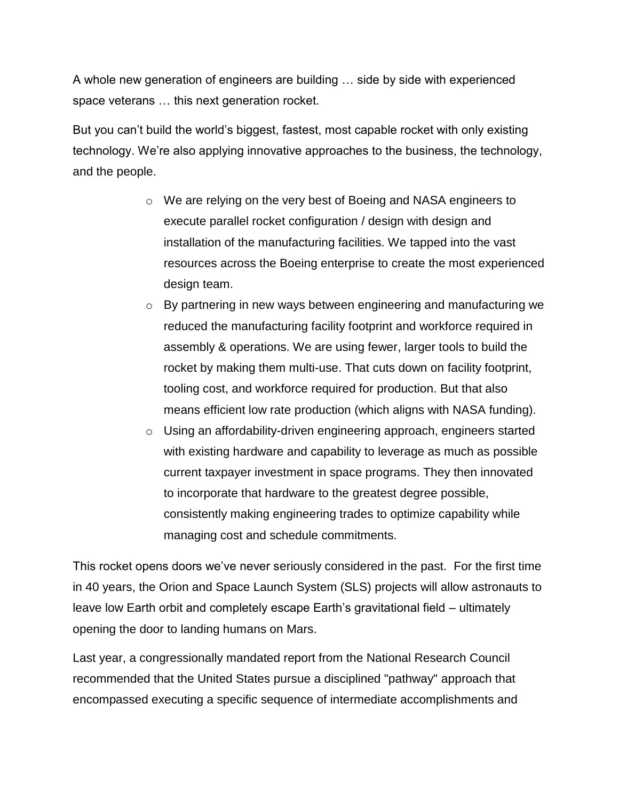A whole new generation of engineers are building … side by side with experienced space veterans … this next generation rocket.

But you can't build the world's biggest, fastest, most capable rocket with only existing technology. We're also applying innovative approaches to the business, the technology, and the people.

- o We are relying on the very best of Boeing and NASA engineers to execute parallel rocket configuration / design with design and installation of the manufacturing facilities. We tapped into the vast resources across the Boeing enterprise to create the most experienced design team.
- o By partnering in new ways between engineering and manufacturing we reduced the manufacturing facility footprint and workforce required in assembly & operations. We are using fewer, larger tools to build the rocket by making them multi-use. That cuts down on facility footprint, tooling cost, and workforce required for production. But that also means efficient low rate production (which aligns with NASA funding).
- o Using an affordability-driven engineering approach, engineers started with existing hardware and capability to leverage as much as possible current taxpayer investment in space programs. They then innovated to incorporate that hardware to the greatest degree possible, consistently making engineering trades to optimize capability while managing cost and schedule commitments.

This rocket opens doors we've never seriously considered in the past. For the first time in 40 years, the Orion and Space Launch System (SLS) projects will allow astronauts to leave low Earth orbit and completely escape Earth's gravitational field – ultimately opening the door to landing humans on Mars.

Last year, a congressionally mandated report from the National Research Council recommended that the United States pursue a disciplined "pathway" approach that encompassed executing a specific sequence of intermediate accomplishments and